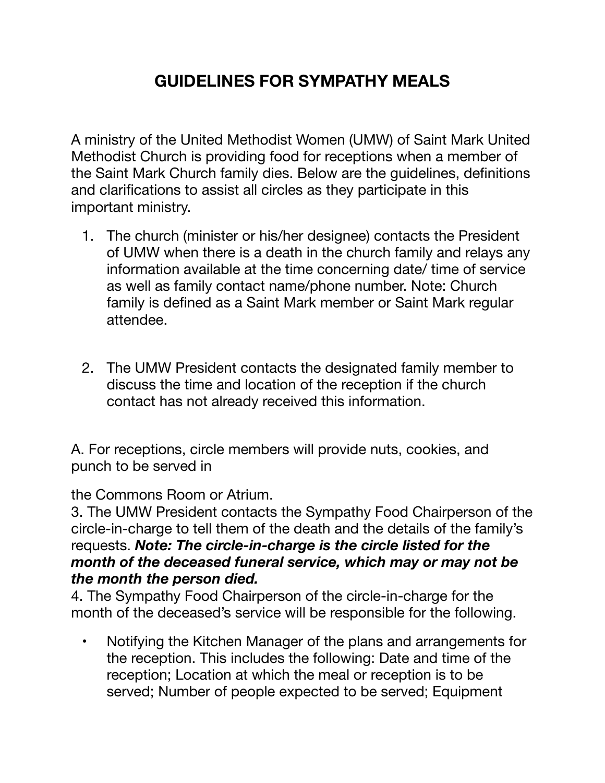## **GUIDELINES FOR SYMPATHY MEALS**

A ministry of the United Methodist Women (UMW) of Saint Mark United Methodist Church is providing food for receptions when a member of the Saint Mark Church family dies. Below are the guidelines, definitions and clarifications to assist all circles as they participate in this important ministry.

- 1. The church (minister or his/her designee) contacts the President of UMW when there is a death in the church family and relays any information available at the time concerning date/ time of service as well as family contact name/phone number. Note: Church family is defined as a Saint Mark member or Saint Mark regular attendee.
- 2. The UMW President contacts the designated family member to discuss the time and location of the reception if the church contact has not already received this information.

A. For receptions, circle members will provide nuts, cookies, and punch to be served in

the Commons Room or Atrium.

3. The UMW President contacts the Sympathy Food Chairperson of the circle-in-charge to tell them of the death and the details of the family's requests. *Note: The circle-in-charge is the circle listed for the month of the deceased funeral service, which may or may not be the month the person died.*

4. The Sympathy Food Chairperson of the circle-in-charge for the month of the deceased's service will be responsible for the following.

• Notifying the Kitchen Manager of the plans and arrangements for the reception. This includes the following: Date and time of the reception; Location at which the meal or reception is to be served; Number of people expected to be served; Equipment